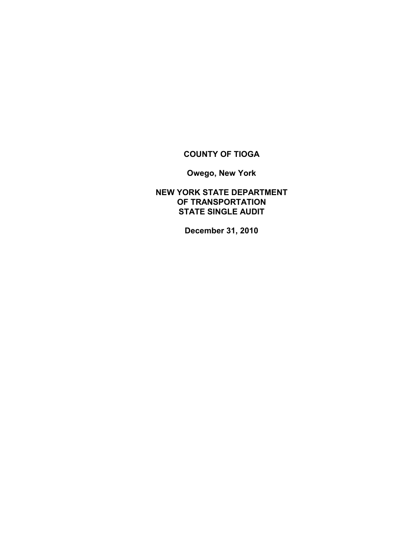## **COUNTY OF TIOGA**

**Owego, New York**

**NEW YORK STATE DEPARTMENT OF TRANSPORTATION STATE SINGLE AUDIT**

**December 31, 2010**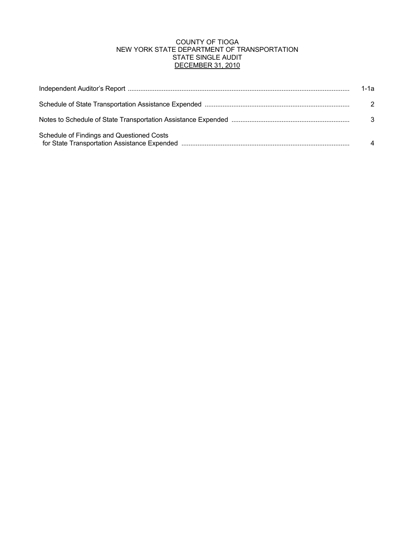#### COUNTY OF TIOGA NEW YORK STATE DEPARTMENT OF TRANSPORTATION STATE SINGLE AUDIT DECEMBER 31, 2010

|                                           | 1-1а          |
|-------------------------------------------|---------------|
|                                           | $\mathcal{P}$ |
|                                           | 3             |
| Schedule of Findings and Questioned Costs |               |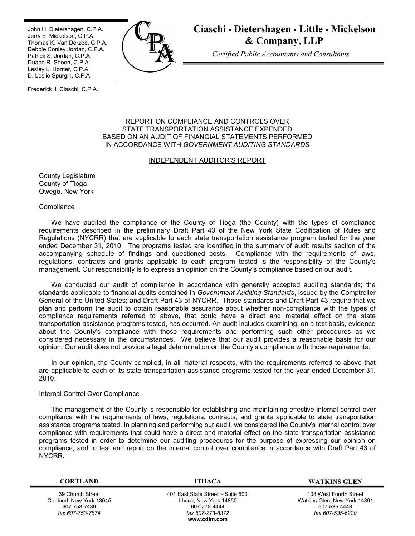Ī John H. Dietershagen, C.P.A. Jerry E. Mickelson, C.P.A. Thomas K. Van Derzee, C.P.A. Debbie Conley Jordan, C.P.A. Patrick S. Jordan, C.P.A. Duane R. Shoen, C.P.A. Lesley L. Horner, C.P.A. D. Leslie Spurgin, C.P.A.



# **Ciaschi Dietershagen Little Mickelson & Company, LLP**

*Certified Public Accountants and Consultants*

Frederick J. Ciaschi, C.P.A.

#### REPORT ON COMPLIANCE AND CONTROLS OVER STATE TRANSPORTATION ASSISTANCE EXPENDED BASED ON AN AUDIT OF FINANCIAL STATEMENTS PERFORMED IN ACCORDANCE WITH *GOVERNMENT AUDITING STANDARDS*

#### INDEPENDENT AUDITOR'S REPORT

County Legislature County of Tioga Owego, New York

#### **Compliance**

We have audited the compliance of the County of Tioga (the County) with the types of compliance requirements described in the preliminary Draft Part 43 of the New York State Codification of Rules and Regulations (NYCRR) that are applicable to each state transportation assistance program tested for the year ended December 31, 2010. The programs tested are identified in the summary of audit results section of the accompanying schedule of findings and questioned costs. Compliance with the requirements of laws, regulations, contracts and grants applicable to each program tested is the responsibility of the County's management. Our responsibility is to express an opinion on the County's compliance based on our audit.

We conducted our audit of compliance in accordance with generally accepted auditing standards; the standards applicable to financial audits contained in *Government Auditing Standards*, issued by the Comptroller General of the United States; and Draft Part 43 of NYCRR. Those standards and Draft Part 43 require that we plan and perform the audit to obtain reasonable assurance about whether non-compliance with the types of compliance requirements referred to above, that could have a direct and material effect on the state transportation assistance programs tested, has occurred. An audit includes examining, on a test basis, evidence about the County's compliance with those requirements and performing such other procedures as we considered necessary in the circumstances. We believe that our audit provides a reasonable basis for our opinion. Our audit does not provide a legal determination on the County's compliance with those requirements.

In our opinion, the County complied, in all material respects, with the requirements referred to above that are applicable to each of its state transportation assistance programs tested for the year ended December 31, 2010.

#### Internal Control Over Compliance

The management of the County is responsible for establishing and maintaining effective internal control over compliance with the requirements of laws, regulations, contracts, and grants applicable to state transportation assistance programs tested. In planning and performing our audit, we considered the County's internal control over compliance with requirements that could have a direct and material effect on the state transportation assistance programs tested in order to determine our auditing procedures for the purpose of expressing our opinion on compliance, and to test and report on the internal control over compliance in accordance with Draft Part 43 of NYCRR.

39 Church Street Cortland, New York 13045 607-753-7439 *fax 607-753-7874*

 401 East State Street ~ Suite 500 Ithaca, New York 14850 607-272-4444 *fax 607-273-8372* **w[ww.cdlm.com](www.cdlm.com)**

**CORTLAND ITHACA WATKINS GLEN**

108 West Fourth Street Watkins Glen, New York 14891 607-535-4443 *fax 607-535-6220*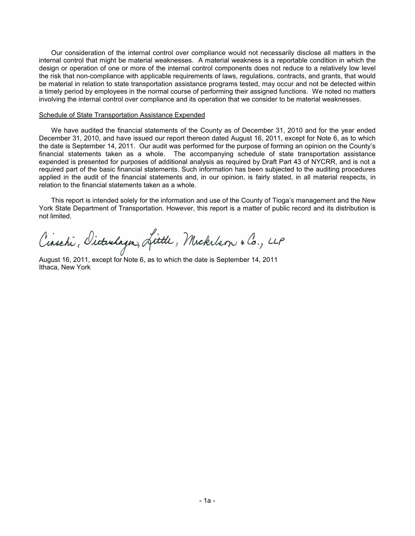Our consideration of the internal control over compliance would not necessarily disclose all matters in the internal control that might be material weaknesses. A material weakness is a reportable condition in which the design or operation of one or more of the internal control components does not reduce to a relatively low level the risk that non-compliance with applicable requirements of laws, regulations, contracts, and grants, that would be material in relation to state transportation assistance programs tested, may occur and not be detected within a timely period by employees in the normal course of performing their assigned functions. We noted no matters involving the internal control over compliance and its operation that we consider to be material weaknesses.

#### Schedule of State Transportation Assistance Expended

We have audited the financial statements of the County as of December 31, 2010 and for the year ended December 31, 2010, and have issued our report thereon dated August 16, 2011, except for Note 6, as to which the date is September 14, 2011. Our audit was performed for the purpose of forming an opinion on the County's financial statements taken as a whole. The accompanying schedule of state transportation assistance expended is presented for purposes of additional analysis as required by Draft Part 43 of NYCRR, and is not a required part of the basic financial statements. Such information has been subjected to the auditing procedures applied in the audit of the financial statements and, in our opinion, is fairly stated, in all material respects, in relation to the financial statements taken as a whole.

This report is intended solely for the information and use of the County of Tioga's management and the New York State Department of Transportation. However, this report is a matter of public record and its distribution is not limited.

Cinschi, Dicturlagn, Little, Mickelson & Co., LLP

August 16, 2011, except for Note 6, as to which the date is September 14, 2011 Ithaca, New York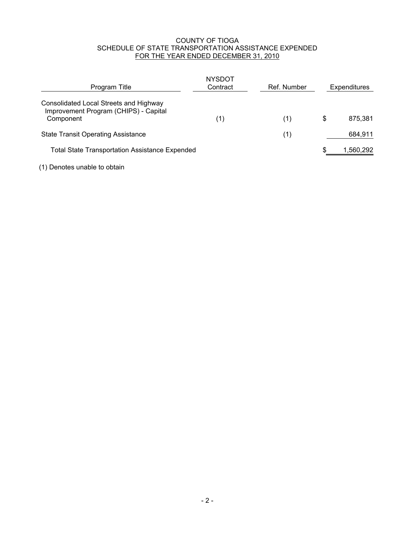#### COUNTY OF TIOGA SCHEDULE OF STATE TRANSPORTATION ASSISTANCE EXPENDED FOR THE YEAR ENDED DECEMBER 31, 2010

| Program Title                                                                                | <b>NYSDOT</b><br>Contract | Ref. Number | Expenditures  |
|----------------------------------------------------------------------------------------------|---------------------------|-------------|---------------|
| Consolidated Local Streets and Highway<br>Improvement Program (CHIPS) - Capital<br>Component | (1)                       | (1)         | \$<br>875,381 |
| <b>State Transit Operating Assistance</b>                                                    |                           | (1)         | 684,911       |
| <b>Total State Transportation Assistance Expended</b>                                        |                           |             | 1,560,292     |

(1) Denotes unable to obtain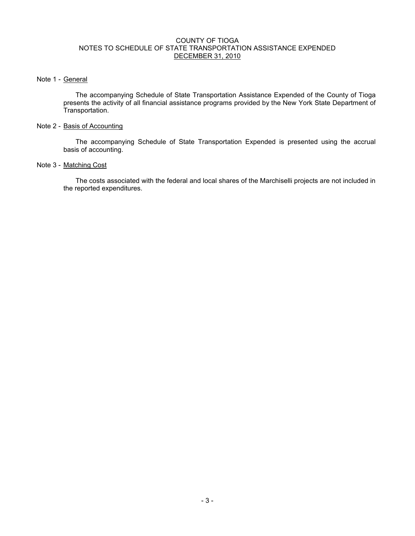#### COUNTY OF TIOGA NOTES TO SCHEDULE OF STATE TRANSPORTATION ASSISTANCE EXPENDED DECEMBER 31, 2010

#### Note 1 - General

The accompanying Schedule of State Transportation Assistance Expended of the County of Tioga presents the activity of all financial assistance programs provided by the New York State Department of Transportation.

#### Note 2 - Basis of Accounting

The accompanying Schedule of State Transportation Expended is presented using the accrual basis of accounting.

#### Note 3 - Matching Cost

The costs associated with the federal and local shares of the Marchiselli projects are not included in the reported expenditures.